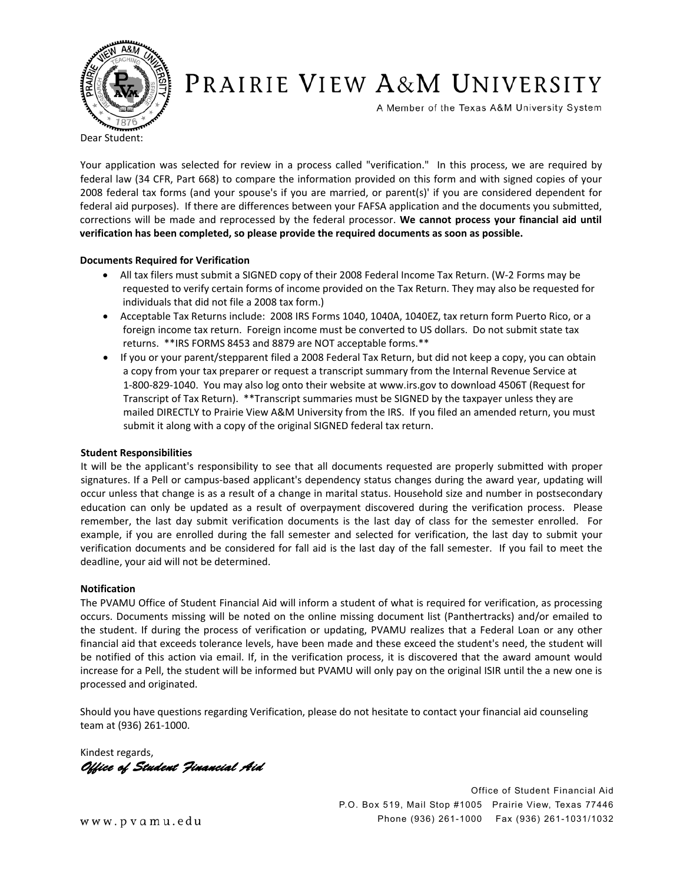

# PRAIRIE VIEW A&M UNIVERSITY

A Member of the Texas A&M University System

Dear Student:

Your application was selected for review in a process called "verification." In this process, we are required by federal law (34 CFR, Part 668) to compare the information provided on this form and with signed copies of your 2008 federal tax forms (and your spouse's if you are married, or parent(s)' if you are considered dependent for federal aid purposes). If there are differences between your FAFSA application and the documents you submitted, corrections will be made and reprocessed by the federal processor. **We cannot process your financial aid until verification has been completed, so please provide the required documents as soon as possible.!!**

## **Documents Required for Verification**

- . All tax filers must submit a SIGNED copy of their 2008 Federal Income Tax Return. (W-2 Forms may be requested to verify certain forms of income provided on the Tax Return. They may also be requested for individuals that did not file a 2008 tax form.)
- Acceptable Tax Returns include: 2008 IRS Forms 1040, 1040A, 1040EZ, tax return form Puerto Rico, or a foreign income tax return. Foreign income must be converted to US dollars. Do not submit state tax returns. \*\*IRS FORMS 8453 and 8879 are NOT acceptable forms.\*\*
- If you or your parent/stepparent filed a 2008 Federal Tax Return, but did not keep a copy, you can obtain a copy from your tax preparer or request a transcript summary from the Internal Revenue Service at 1-800-829-1040. You may also log onto their website at www.irs.gov to download 4506T (Request for Transcript of Tax Return). \*\*Transcript summaries must be SIGNED by the taxpayer unless they are mailed DIRECTLY to Prairie View A&M University from the IRS. If you filed an amended return, you must submit it along with a copy of the original SIGNED federal tax return.

#### **Student Responsibilities**

It will be the applicant's responsibility to see that all documents requested are properly submitted with proper signatures. If a Pell or campus-based applicant's dependency status changes during the award year, updating will occur unless that change is as a result of a change in marital status. Household size and number in postsecondary education can only be updated as a result of overpayment discovered during the verification process. Please remember, the last day submit verification documents is the last day of class for the semester enrolled. For example, if you are enrolled during the fall semester and selected for verification, the last day to submit your verification documents and be considered for fall aid is the last day of the fall semester.!!If you fail to meet the deadline, your aid will not be determined.

#### **Notification!!!**

The PVAMU Office of Student Financial Aid will inform a student of what is required for verification, as processing occurs. Documents missing will be noted on the online missing document list (Panthertracks) and/or emailed to the student. If during the process of verification or updating, PVAMU realizes that a Federal Loan or any other financial aid that exceeds tolerance levels, have been made and these exceed the student's need, the student will be notified of this action via email. If, in the verification process, it is discovered that the award amount would increase for a Pell, the student will be informed but PVAMU will only pay on the original ISIR until the a new one is processed and originated.

Should you have questions regarding Verification, please do not hesitate to contact your financial aid counseling team at (936) 261-1000.

Kindest regards, Office of Student Financial Aid

Office of Student Financial Aid P.O. Box 519, Mail Stop #1005 Prairie View, Texas 77446 Phone (936) 261-1000 Fax (936) 261-1031/1032

www.pvamu.edu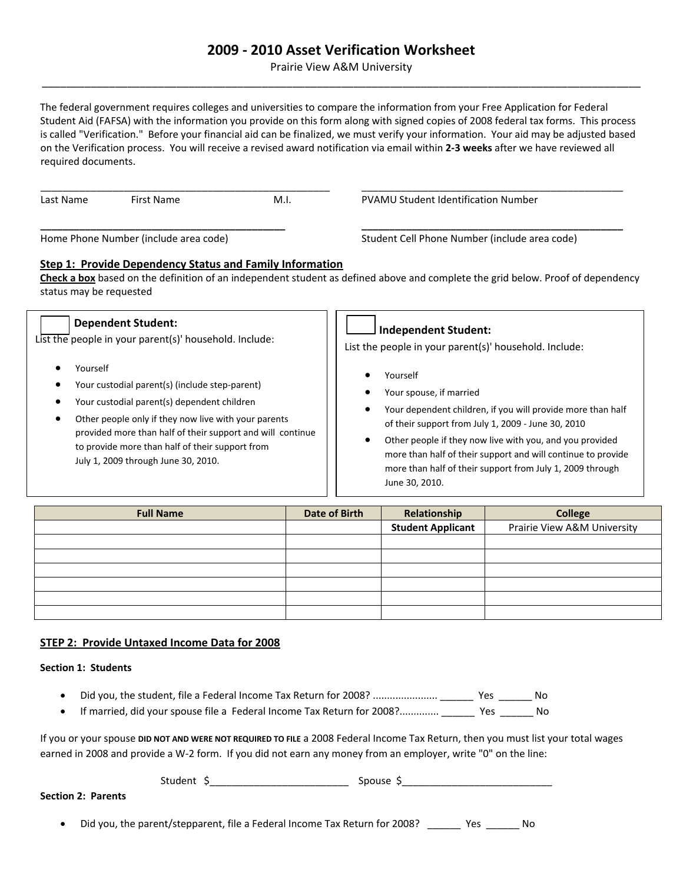## **2009!"!2010 Asset Verification Worksheet**

Prairie View A&M University \_\_\_\_\_\_\_\_\_\_\_\_\_\_\_\_\_\_\_\_\_\_\_\_\_\_\_\_\_\_\_\_\_\_\_\_\_\_\_\_\_\_\_\_\_\_\_\_\_\_\_\_\_\_\_\_\_\_\_\_\_\_\_\_\_\_\_\_\_\_\_\_\_\_\_\_\_\_\_\_\_\_\_\_\_\_\_\_\_\_\_\_\_\_\_\_\_\_

The federal government requires colleges and universities to compare the information from your Free Application for Federal Student Aid (FAFSA) with the information you provide on this form along with signed copies of 2008 federal tax forms. This process is called "Verification." Before your financial aid can be finalized, we must verify your information. Your aid may be adjusted based on the Verification process.!!You will receive a revised award notification via email within **2"3 weeks** after we have reviewed all required documents.

| Last Name | First Name | M.I. | <b>PVAMU Student Identification Number</b> |
|-----------|------------|------|--------------------------------------------|

Home Phone Number (include area code)! ! ! ! Student Cell Phone Number (include area code)

## **Step 1: Provide Dependency Status and Family Information**

**Check a box** based on the definition of an independent student as defined above and complete the grid below. Proof of dependency status may be requested

**\_\_\_\_\_\_\_\_\_\_\_\_\_\_\_\_\_\_\_\_\_\_\_\_\_\_\_\_\_\_\_\_\_\_\_\_\_\_\_\_\_\_\_\_! ! \_\_\_\_\_\_\_\_\_\_\_\_\_\_\_\_\_\_\_\_\_\_\_\_\_\_\_\_\_\_\_\_\_\_\_\_\_\_\_\_\_\_\_\_\_\_\_**

| <b>Dependent Student:</b><br>List the people in your parent(s)' household. Include:<br>Yourself                                                                                                                                                                                                               | <b>Independent Student:</b><br>List the people in your parent(s)' household. Include:                                                                                                                                                                                                                                                                                                               |  |  |
|---------------------------------------------------------------------------------------------------------------------------------------------------------------------------------------------------------------------------------------------------------------------------------------------------------------|-----------------------------------------------------------------------------------------------------------------------------------------------------------------------------------------------------------------------------------------------------------------------------------------------------------------------------------------------------------------------------------------------------|--|--|
| Your custodial parent(s) (include step-parent)<br>Your custodial parent(s) dependent children<br>Other people only if they now live with your parents<br>provided more than half of their support and will continue<br>to provide more than half of their support from<br>July 1, 2009 through June 30, 2010. | Yourself<br>$\epsilon$<br>Your spouse, if married<br>Your dependent children, if you will provide more than half<br>$\bullet$<br>of their support from July 1, 2009 - June 30, 2010<br>Other people if they now live with you, and you provided<br>٠<br>more than half of their support and will continue to provide<br>more than half of their support from July 1, 2009 through<br>June 30, 2010. |  |  |
|                                                                                                                                                                                                                                                                                                               |                                                                                                                                                                                                                                                                                                                                                                                                     |  |  |

| <b>Full Name</b> | <b>Date of Birth</b> | Relationship             | <b>College</b>              |  |
|------------------|----------------------|--------------------------|-----------------------------|--|
|                  |                      | <b>Student Applicant</b> | Prairie View A&M University |  |
|                  |                      |                          |                             |  |
|                  |                      |                          |                             |  |
|                  |                      |                          |                             |  |
|                  |                      |                          |                             |  |
|                  |                      |                          |                             |  |
|                  |                      |                          |                             |  |

## **STEP 2:!!Provide Untaxed Income Data for 2008**

## **Section 1: Students**

- ! Did you, the student, file a Federal Income Tax Return for 2008? ....................... \_\_\_\_\_\_!!Yes!!\_\_\_\_\_\_ No! ! !
- If married, did your spouse file a Federal Income Tax Return for 2008?.............. \_\_\_\_\_\_\_\_ Yes \_\_\_\_\_\_\_ No

If you or your spouse **DID NOT AND WERE NOT REQUIRED TO FILE** a 2008 Federal Income Tax Return, then you must list your total wages earned in 2008 and provide a W-2 form. If you did not earn any money from an employer, write "0" on the line:

| . |  |
|---|--|
|---|--|

**Section 2: Parents** 

Did you, the parent/stepparent, file a Federal Income Tax Return for 2008? [100] Yes [100] No